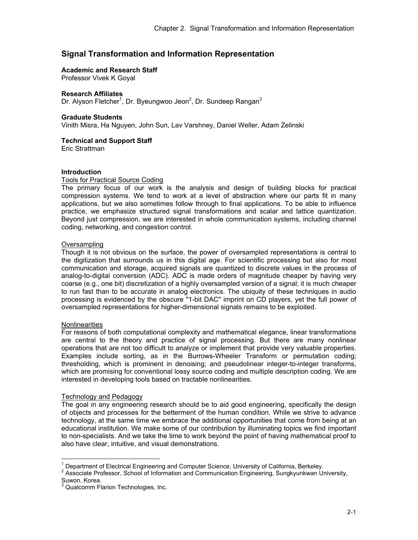# **Signal Transformation and Information Representation**

### **Academic and Research Staff**

Professor Vivek K Goyal

### **Research Affiliates**

Dr. Alyson Fletcher<sup>1</sup>, Dr. Byeungwoo Jeon<sup>2</sup>, Dr. Sundeep Rangan<sup>3</sup>

#### **Graduate Students**

Vinith Misra, Ha Nguyen, John Sun, Lav Varshney, Daniel Weller, Adam Zelinski

# **Technical and Support Staff**

Eric Strattman

# **Introduction**

#### Tools for Practical Source Coding

The primary focus of our work is the analysis and design of building blocks for practical compression systems. We tend to work at a level of abstraction where our parts fit in many applications, but we also sometimes follow through to final applications. To be able to influence practice, we emphasize structured signal transformations and scalar and lattice quantization. Beyond just compression, we are interested in whole communication systems, including channel coding, networking, and congestion control.

#### **Oversampling**

Though it is not obvious on the surface, the power of oversampled representations is central to the digitization that surrounds us in this digital age. For scientific processing but also for most communication and storage, acquired signals are quantized to discrete values in the process of analog-to-digital conversion (ADC). ADC is made orders of magnitude cheaper by having very coarse (e.g., one bit) discretization of a highly oversampled version of a signal; it is much cheaper to run fast than to be accurate in analog electronics. The ubiquity of these techniques in audio processing is evidenced by the obscure "1-bit DAC'' imprint on CD players, yet the full power of oversampled representations for higher-dimensional signals remains to be exploited.

# **Nonlinearities**

 $\overline{a}$ 

For reasons of both computational complexity and mathematical elegance, linear transformations are central to the theory and practice of signal processing. But there are many nonlinear operations that are not too difficult to analyze or implement that provide very valuable properties. Examples include sorting, as in the Burrows-Wheeler Transform or permutation coding; thresholding, which is prominent in denoising; and pseudolinear integer-to-integer transforms, which are promising for conventional lossy source coding and multiple description coding. We are interested in developing tools based on tractable nonlinearities.

# Technology and Pedagogy

The goal in any engineering research should be to aid good engineering, specifically the design of objects and processes for the betterment of the human condition. While we strive to advance technology, at the same time we embrace the additional opportunities that come from being at an educational institution. We make some of our contribution by illuminating topics we find important to non-specialists. And we take the time to work beyond the point of having mathematical proof to also have clear, intuitive, and visual demonstrations.

<sup>&</sup>lt;sup>1</sup> Department of Electrical Engineering and Computer Science. University of California. Berkeley.

<sup>&</sup>lt;sup>1</sup> Department of Electrical Engineering and Computer Science, University of California, Berkeley.<br><sup>2</sup> Associate Professor, School of Information and Communication Engineering, Sungkyunkwan University, Suwon, Korea.<br><sup>3</sup> Ougleamm Ele

Qualcomm Flarion Technologies, Inc.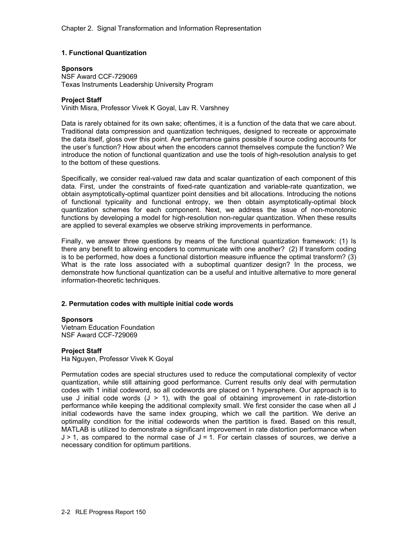# **1. Functional Quantization**

# **Sponsors**

NSF Award CCF-729069 Texas Instruments Leadership University Program

# **Project Staff**

Vinith Misra, Professor Vivek K Goyal, Lav R. Varshney

Data is rarely obtained for its own sake; oftentimes, it is a function of the data that we care about. Traditional data compression and quantization techniques, designed to recreate or approximate the data itself, gloss over this point. Are performance gains possible if source coding accounts for the user's function? How about when the encoders cannot themselves compute the function? We introduce the notion of functional quantization and use the tools of high-resolution analysis to get to the bottom of these questions.

Specifically, we consider real-valued raw data and scalar quantization of each component of this data. First, under the constraints of fixed-rate quantization and variable-rate quantization, we obtain asymptotically-optimal quantizer point densities and bit allocations. Introducing the notions of functional typicality and functional entropy, we then obtain asymptotically-optimal block quantization schemes for each component. Next, we address the issue of non-monotonic functions by developing a model for high-resolution non-regular quantization. When these results are applied to several examples we observe striking improvements in performance.

Finally, we answer three questions by means of the functional quantization framework: (1) Is there any benefit to allowing encoders to communicate with one another? (2) If transform coding is to be performed, how does a functional distortion measure influence the optimal transform? (3) What is the rate loss associated with a suboptimal quantizer design? In the process, we demonstrate how functional quantization can be a useful and intuitive alternative to more general information-theoretic techniques.

# **2. Permutation codes with multiple initial code words**

# **Sponsors**

Vietnam Education Foundation NSF Award CCF-729069

# **Project Staff**

Ha Nguyen, Professor Vivek K Goyal

Permutation codes are special structures used to reduce the computational complexity of vector quantization, while still attaining good performance. Current results only deal with permutation codes with 1 initial codeword, so all codewords are placed on 1 hypersphere. Our approach is to use J initial code words  $(J > 1)$ , with the goal of obtaining improvement in rate-distortion performance while keeping the additional complexity small. We first consider the case when all J initial codewords have the same index grouping, which we call the partition. We derive an optimality condition for the initial codewords when the partition is fixed. Based on this result, MATLAB is utilized to demonstrate a significant improvement in rate distortion performance when  $J > 1$ , as compared to the normal case of  $J = 1$ . For certain classes of sources, we derive a necessary condition for optimum partitions.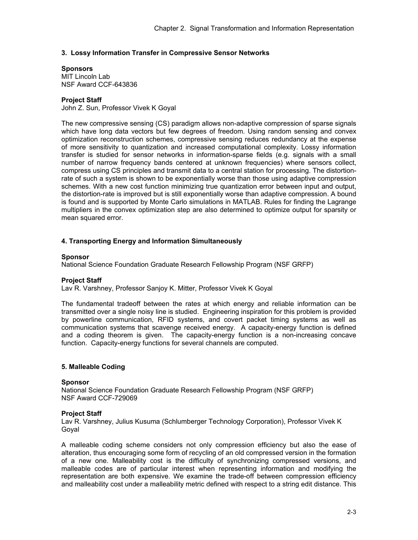# **3. Lossy Information Transfer in Compressive Sensor Networks**

# **Sponsors**

MIT Lincoln Lab NSF Award CCF-643836

# **Project Staff**

John Z. Sun, Professor Vivek K Goyal

The new compressive sensing (CS) paradigm allows non-adaptive compression of sparse signals which have long data vectors but few degrees of freedom. Using random sensing and convex optimization reconstruction schemes, compressive sensing reduces redundancy at the expense of more sensitivity to quantization and increased computational complexity. Lossy information transfer is studied for sensor networks in information-sparse fields (e.g. signals with a small number of narrow frequency bands centered at unknown frequencies) where sensors collect, compress using CS principles and transmit data to a central station for processing. The distortionrate of such a system is shown to be exponentially worse than those using adaptive compression schemes. With a new cost function minimizing true quantization error between input and output, the distortion-rate is improved but is still exponentially worse than adaptive compression. A bound is found and is supported by Monte Carlo simulations in MATLAB. Rules for finding the Lagrange multipliers in the convex optimization step are also determined to optimize output for sparsity or mean squared error.

# **4. Transporting Energy and Information Simultaneously**

#### **Sponsor**

National Science Foundation Graduate Research Fellowship Program (NSF GRFP)

# **Project Staff**

Lav R. Varshney, Professor Sanjoy K. Mitter, Professor Vivek K Goyal

The fundamental tradeoff between the rates at which energy and reliable information can be transmitted over a single noisy line is studied. Engineering inspiration for this problem is provided by powerline communication, RFID systems, and covert packet timing systems as well as communication systems that scavenge received energy. A capacity-energy function is defined and a coding theorem is given. The capacity-energy function is a non-increasing concave function. Capacity-energy functions for several channels are computed.

# **5. Malleable Coding**

# **Sponsor**

National Science Foundation Graduate Research Fellowship Program (NSF GRFP) NSF Award CCF-729069

# **Project Staff**

Lav R. Varshney, Julius Kusuma (Schlumberger Technology Corporation), Professor Vivek K Goyal

A malleable coding scheme considers not only compression efficiency but also the ease of alteration, thus encouraging some form of recycling of an old compressed version in the formation of a new one. Malleability cost is the difficulty of synchronizing compressed versions, and malleable codes are of particular interest when representing information and modifying the representation are both expensive. We examine the trade-off between compression efficiency and malleability cost under a malleability metric defined with respect to a string edit distance. This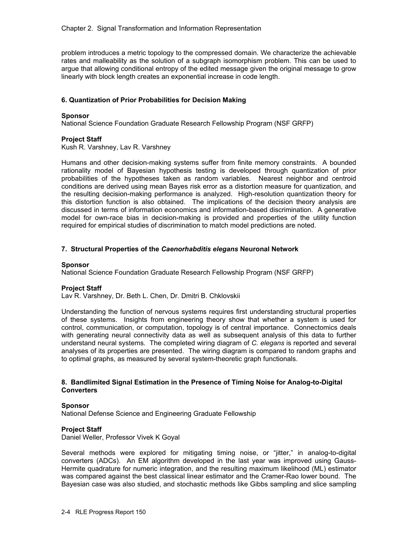problem introduces a metric topology to the compressed domain. We characterize the achievable rates and malleability as the solution of a subgraph isomorphism problem. This can be used to argue that allowing conditional entropy of the edited message given the original message to grow linearly with block length creates an exponential increase in code length.

# **6. Quantization of Prior Probabilities for Decision Making**

#### **Sponsor**

National Science Foundation Graduate Research Fellowship Program (NSF GRFP)

# **Project Staff**

Kush R. Varshney, Lav R. Varshney

Humans and other decision-making systems suffer from finite memory constraints. A bounded rationality model of Bayesian hypothesis testing is developed through quantization of prior probabilities of the hypotheses taken as random variables. Nearest neighbor and centroid conditions are derived using mean Bayes risk error as a distortion measure for quantization, and the resulting decision-making performance is analyzed. High-resolution quantization theory for this distortion function is also obtained. The implications of the decision theory analysis are discussed in terms of information economics and information-based discrimination. A generative model for own-race bias in decision-making is provided and properties of the utility function required for empirical studies of discrimination to match model predictions are noted.

# **7. Structural Properties of the** *Caenorhabditis elegans* **Neuronal Network**

#### **Sponsor**

National Science Foundation Graduate Research Fellowship Program (NSF GRFP)

# **Project Staff**

Lav R. Varshney, Dr. Beth L. Chen, Dr. Dmitri B. Chklovskii

Understanding the function of nervous systems requires first understanding structural properties of these systems. Insights from engineering theory show that whether a system is used for control, communication, or computation, topology is of central importance. Connectomics deals with generating neural connectivity data as well as subsequent analysis of this data to further understand neural systems. The completed wiring diagram of *C. elegans* is reported and several analyses of its properties are presented. The wiring diagram is compared to random graphs and to optimal graphs, as measured by several system-theoretic graph functionals.

# **8. Bandlimited Signal Estimation in the Presence of Timing Noise for Analog-to-Digital Converters**

# **Sponsor**

National Defense Science and Engineering Graduate Fellowship

# **Project Staff**

Daniel Weller, Professor Vivek K Goyal

Several methods were explored for mitigating timing noise, or "jitter," in analog-to-digital converters (ADCs). An EM algorithm developed in the last year was improved using Gauss-Hermite quadrature for numeric integration, and the resulting maximum likelihood (ML) estimator was compared against the best classical linear estimator and the Cramer-Rao lower bound. The Bayesian case was also studied, and stochastic methods like Gibbs sampling and slice sampling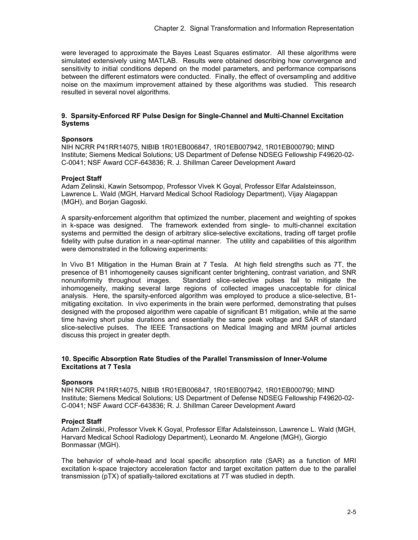were leveraged to approximate the Bayes Least Squares estimator. All these algorithms were simulated extensively using MATLAB. Results were obtained describing how convergence and sensitivity to initial conditions depend on the model parameters, and performance comparisons between the different estimators were conducted. Finally, the effect of oversampling and additive noise on the maximum improvement attained by these algorithms was studied. This research resulted in several novel algorithms.

# **9. Sparsity-Enforced RF Pulse Design for Single-Channel and Multi-Channel Excitation Systems**

# **Sponsors**

NIH NCRR P41RR14075, NIBIB 1R01EB006847, 1R01EB007942, 1R01EB000790; MIND Institute; Siemens Medical Solutions; US Department of Defense NDSEG Fellowship F49620-02- C-0041; NSF Award CCF-643836; R. J. Shillman Career Development Award

# **Project Staff**

Adam Zelinski, Kawin Setsompop, Professor Vivek K Goyal, Professor Elfar Adalsteinsson, Lawrence L. Wald (MGH, Harvard Medical School Radiology Department), Vijay Alagappan (MGH), and Borjan Gagoski.

A sparsity-enforcement algorithm that optimized the number, placement and weighting of spokes in k-space was designed. The framework extended from single- to multi-channel excitation systems and permitted the design of arbitrary slice-selective excitations, trading off target profile fidelity with pulse duration in a near-optimal manner. The utility and capabilities of this algorithm were demonstrated in the following experiments:

In Vivo B1 Mitigation in the Human Brain at 7 Tesla. At high field strengths such as 7T, the presence of B1 inhomogeneity causes significant center brightening, contrast variation, and SNR nonuniformity throughout images. Standard slice-selective pulses fail to mitigate the inhomogeneity, making several large regions of collected images unacceptable for clinical analysis. Here, the sparsity-enforced algorithm was employed to produce a slice-selective, B1 mitigating excitation. In vivo experiments in the brain were performed, demonstrating that pulses designed with the proposed algorithm were capable of significant B1 mitigation, while at the same time having short pulse durations and essentially the same peak voltage and SAR of standard slice-selective pulses. The IEEE Transactions on Medical Imaging and MRM journal articles discuss this project in greater depth.

# **10. Specific Absorption Rate Studies of the Parallel Transmission of Inner-Volume Excitations at 7 Tesla**

# **Sponsors**

NIH NCRR P41RR14075, NIBIB 1R01EB006847, 1R01EB007942, 1R01EB000790; MIND Institute; Siemens Medical Solutions; US Department of Defense NDSEG Fellowship F49620-02- C-0041; NSF Award CCF-643836; R. J. Shillman Career Development Award

# **Project Staff**

Adam Zelinski, Professor Vivek K Goyal, Professor Elfar Adalsteinsson, Lawrence L. Wald (MGH, Harvard Medical School Radiology Department), Leonardo M. Angelone (MGH), Giorgio Bonmassar (MGH).

The behavior of whole-head and local specific absorption rate (SAR) as a function of MRI excitation k-space trajectory acceleration factor and target excitation pattern due to the parallel transmission (pTX) of spatially-tailored excitations at 7T was studied in depth.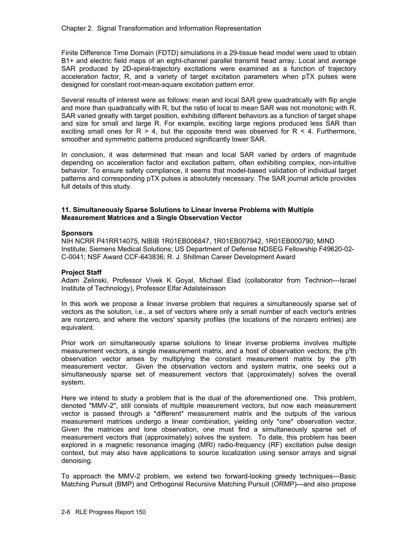Finite Difference Time Domain (FDTD) simulations in a 29-tissue head model were used to obtain B1+ and electric field maps of an eight-channel parallel transmit head array. Local and average SAR produced by 2D-spiral-trajectory excitations were examined as a function of trajectory acceleration factor, R, and a variety of target excitation parameters when pTX pulses were designed for constant root-mean-square excitation pattern error.

Several results of interest were as follows: mean and local SAR grew quadratically with flip angle and more than quadratically with R, but the ratio of local to mean SAR was not monotonic with R. SAR varied greatly with target position, exhibiting different behaviors as a function of target shape and size for small and large R. For example, exciting large regions produced less SAR than exciting small ones for  $R > 4$ , but the opposite trend was observed for  $R < 4$ . Furthermore, smoother and symmetric patterns produced significantly lower SAR.

In conclusion, it was determined that mean and local SAR varied by orders of magnitude depending on acceleration factor and excitation pattern, often exhibiting complex, non-intuitive behavior. To ensure safety compliance, it seems that model-based validation of individual target patterns and corresponding pTX pulses is absolutely necessary. The SAR journal article provides full details of this study.

# **11. Simultaneously Sparse Solutions to Linear Inverse Problems with Multiple Measurement Matrices and a Single Observation Vector**

#### **Sponsors**

NIH NCRR P41RR14075, NIBIB 1R01EB006847, 1R01EB007942, 1R01EB000790; MIND Institute; Siemens Medical Solutions; US Department of Defense NDSEG Fellowship F49620-02- C-0041; NSF Award CCF-643836; R. J. Shillman Career Development Award

# **Project Staff**

Adam Zelinski, Professor Vivek K Goyal, Michael Elad (collaborator from Technion---Israel Institute of Technology), Professor Elfar Adalsteinsson

In this work we propose a linear inverse problem that requires a simultaneously sparse set of vectors as the solution, i.e., a set of vectors where only a small number of each vector's entries are nonzero, and where the vectors' sparsity profiles (the locations of the nonzero entries) are equivalent.

Prior work on simultaneously sparse solutions to linear inverse problems involves multiple measurement vectors, a single measurement matrix, and a host of observation vectors; the p'th observation vector arises by multiplying the constant measurement matrix by the p'th measurement vector. Given the observation vectors and system matrix, one seeks out a simultaneously sparse set of measurement vectors that (approximately) solves the overall system.

Here we intend to study a problem that is the dual of the aforementioned one. This problem, denoted "MMV-2", still consists of multiple measurement vectors, but now each measurement vector is passed through a \*different\* measurement matrix and the outputs of the various measurement matrices undergo a linear combination, yielding only \*one\* observation vector. Given the matrices and lone observation, one must find a simultaneously sparse set of measurement vectors that (approximately) solves the system. To date, this problem has been explored in a magnetic resonance imaging (MRI) radio-frequency (RF) excitation pulse design context, but may also have applications to source localization using sensor arrays and signal denoising.

To approach the MMV-2 problem, we extend two forward-looking greedy techniques---Basic Matching Pursuit (BMP) and Orthogonal Recursive Matching Pursuit (ORMP)---and also propose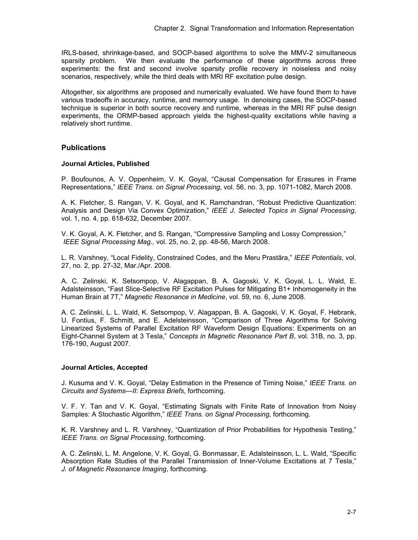IRLS-based, shrinkage-based, and SOCP-based algorithms to solve the MMV-2 simultaneous sparsity problem. We then evaluate the performance of these algorithms across three experiments: the first and second involve sparsity profile recovery in noiseless and noisy scenarios, respectively, while the third deals with MRI RF excitation pulse design.

Altogether, six algorithms are proposed and numerically evaluated. We have found them to have various tradeoffs in accuracy, runtime, and memory usage. In denoising cases, the SOCP-based technique is superior in both source recovery and runtime, whereas in the MRI RF pulse design experiments, the ORMP-based approach yields the highest-quality excitations while having a relatively short runtime.

# **Publications**

# **Journal Articles, Published**

P. Boufounos, A. V. Oppenheim, V. K. Goyal, "Causal Compensation for Erasures in Frame Representations," *IEEE Trans. on Signal Processing*, vol. 56, no. 3, pp. 1071-1082, March 2008.

A. K. Fletcher, S. Rangan, V. K. Goyal, and K. Ramchandran, "Robust Predictive Quantization: Analysis and Design Via Convex Optimization," *IEEE J. Selected Topics in Signal Processing*, vol. 1, no. 4, pp. 618-632, December 2007.

V. K. Goyal, A. K. Fletcher, and S. Rangan, "Compressive Sampling and Lossy Compression," *IEEE Signal Processing Mag.,* vol. 25, no. 2, pp. 48-56, March 2008.

L. R. Varshney, "Local Fidelity, Constrained Codes, and the Meru Prastāra," *IEEE Potentials*, vol. 27, no. 2, pp. 27-32, Mar./Apr. 2008.

A. C. Zelinski, K. Setsompop, V. Alagappan, B. A. Gagoski, V. K. Goyal, L. L. Wald, E. Adalsteinsson, "Fast Slice-Selective RF Excitation Pulses for Mitigating B1+ Inhomogeneity in the Human Brain at 7T," *Magnetic Resonance in Medicine*, vol. 59, no. 6, June 2008.

A. C. Zelinski, L. L. Wald, K. Setsompop, V. Alagappan, B. A. Gagoski, V. K. Goyal, F. Hebrank, U. Fontius, F. Schmitt, and E. Adelsteinsson, "Comparison of Three Algorithms for Solving Linearized Systems of Parallel Excitation RF Waveform Design Equations: Experiments on an Eight-Channel System at 3 Tesla," *Concepts in Magnetic Resonance Part B*, vol. 31B, no. 3, pp. 176-190, August 2007.

# **Journal Articles, Accepted**

J. Kusuma and V. K. Goyal, "Delay Estimation in the Presence of Timing Noise," *IEEE Trans. on Circuits and Systems—II: Express Briefs*, forthcoming.

V. F. Y. Tan and V. K. Goyal, "Estimating Signals with Finite Rate of Innovation from Noisy Samples: A Stochastic Algorithm," *IEEE Trans. on Signal Processing*, forthcoming.

K. R. Varshney and L. R. Varshney, "Quantization of Prior Probabilities for Hypothesis Testing," *IEEE Trans. on Signal Processing*, forthcoming.

A. C. Zelinski, L. M. Angelone, V. K. Goyal, G. Bonmassar, E. Adalsteinsson, L. L. Wald, "Specific Absorption Rate Studies of the Parallel Transmission of Inner-Volume Excitations at 7 Tesla," *J. of Magnetic Resonance Imaging*, forthcoming.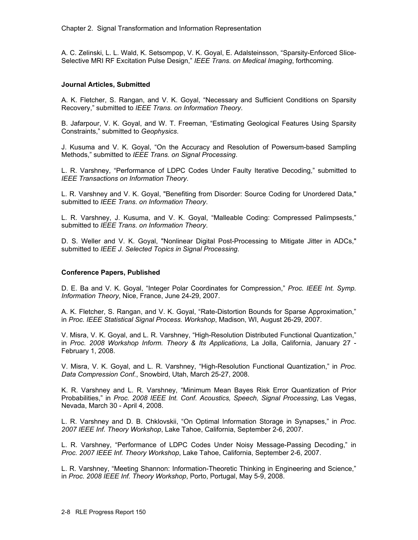A. C. Zelinski, L. L. Wald, K. Setsompop, V. K. Goyal, E. Adalsteinsson, "Sparsity-Enforced Slice-Selective MRI RF Excitation Pulse Design," *IEEE Trans. on Medical Imaging*, forthcoming.

# **Journal Articles, Submitted**

A. K. Fletcher, S. Rangan, and V. K. Goyal, "Necessary and Sufficient Conditions on Sparsity Recovery," submitted to *IEEE Trans. on Information Theory*.

B. Jafarpour, V. K. Goyal, and W. T. Freeman, "Estimating Geological Features Using Sparsity Constraints," submitted to *Geophysics*.

J. Kusuma and V. K. Goyal, "On the Accuracy and Resolution of Powersum-based Sampling Methods," submitted to *IEEE Trans. on Signal Processing*.

L. R. Varshney, "Performance of LDPC Codes Under Faulty Iterative Decoding," submitted to *IEEE Transactions on Information Theory*.

L. R. Varshney and V. K. Goyal, "Benefiting from Disorder: Source Coding for Unordered Data," submitted to *IEEE Trans. on Information Theory*.

L. R. Varshney, J. Kusuma, and V. K. Goyal, "Malleable Coding: Compressed Palimpsests," submitted to *IEEE Trans. on Information Theory*.

D. S. Weller and V. K. Goyal, "Nonlinear Digital Post-Processing to Mitigate Jitter in ADCs," submitted to *IEEE J. Selected Topics in Signal Processing*.

# **Conference Papers, Published**

D. E. Ba and V. K. Goyal, "Integer Polar Coordinates for Compression," *Proc. IEEE Int. Symp. Information Theory*, Nice, France, June 24-29, 2007.

A. K. Fletcher, S. Rangan, and V. K. Goyal, "Rate-Distortion Bounds for Sparse Approximation," in *Proc. IEEE Statistical Signal Process. Workshop*, Madison, WI, August 26-29, 2007.

V. Misra, V. K. Goyal, and L. R. Varshney, "High-Resolution Distributed Functional Quantization," in *Proc. 2008 Workshop Inform. Theory & Its Applications*, La Jolla, California, January 27 - February 1, 2008.

V. Misra, V. K. Goyal, and L. R. Varshney, "High-Resolution Functional Quantization," in *Proc. Data Compression Conf.*, Snowbird, Utah, March 25-27, 2008.

K. R. Varshney and L. R. Varshney, "Minimum Mean Bayes Risk Error Quantization of Prior Probabilities," in *Proc. 2008 IEEE Int. Conf. Acoustics, Speech, Signal Processing*, Las Vegas, Nevada, March 30 - April 4, 2008.

L. R. Varshney and D. B. Chklovskii, "On Optimal Information Storage in Synapses," in *Proc. 2007 IEEE Inf. Theory Workshop*, Lake Tahoe, California, September 2-6, 2007.

L. R. Varshney, "Performance of LDPC Codes Under Noisy Message-Passing Decoding," in *Proc. 2007 IEEE Inf. Theory Workshop*, Lake Tahoe, California, September 2-6, 2007.

L. R. Varshney, "Meeting Shannon: Information-Theoretic Thinking in Engineering and Science," in *Proc. 2008 IEEE Inf. Theory Workshop*, Porto, Portugal, May 5-9, 2008.